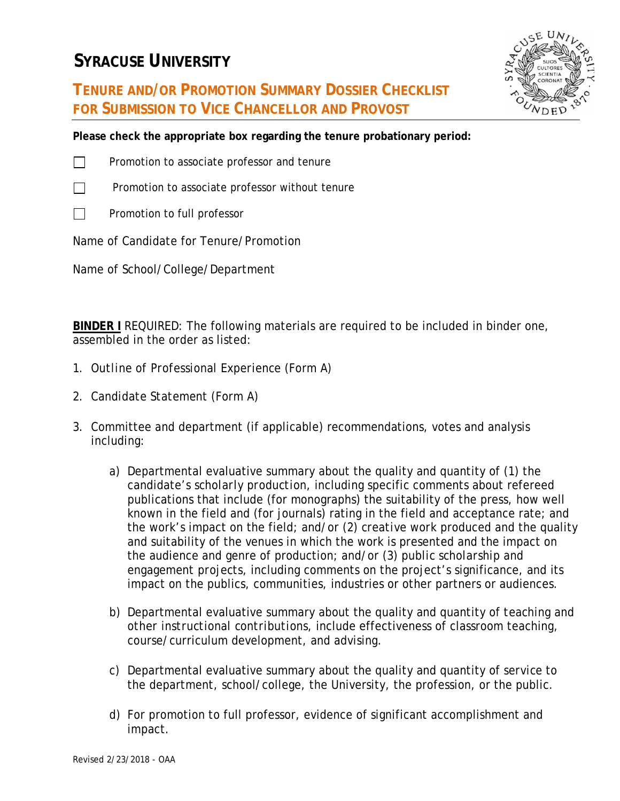## **SYRACUSE UNIVERSITY**



## **TENURE AND/OR PROMOTION SUMMARY DOSSIER CHECKLIST FOR SUBMISSION TO VICE CHANCELLOR AND PROVOST**

**Please check the appropriate box regarding the tenure probationary period:**



- $\Box$  Promotion to associate professor and tenure
- $\Box$  Promotion to associate professor without tenure
	- П Promotion to full professor

Name of Candidate for Tenure/Promotion

Name of School/College/Department

**BINDER I** REQUIRED: The following materials are required to be included in binder one, assembled in the order as listed:

- 1. *Outline of Professional Experience* (Form A)
- 2. *Candidate Statement* (Form A)
- 3. Committee and department (if applicable) recommendations, votes and analysis including:
	- a) Departmental evaluative summary about the quality and quantity of (1) the candidate's *scholarly production*, including specific comments about refereed publications that include (for monographs) the suitability of the press, how well known in the field and (for journals) rating in the field and acceptance rate; and the work's impact on the field; and/or (2) *creative work* produced and the quality and suitability of the venues in which the work is presented and the impact on the audience and genre of production; and/or (3) *public scholarship and engagement projects*, including comments on the project's significance, and its impact on the publics, communities, industries or other partners or audiences.
	- b) Departmental evaluative summary about the quality and quantity of *teaching and other instructional contributions*, include effectiveness of classroom teaching, course/curriculum development, and advising.
	- c) Departmental evaluative summary about the quality and quantity of *service* to the department, school/college, the University, the profession, or the public.
	- d) For promotion to full professor, evidence of significant accomplishment and impact.